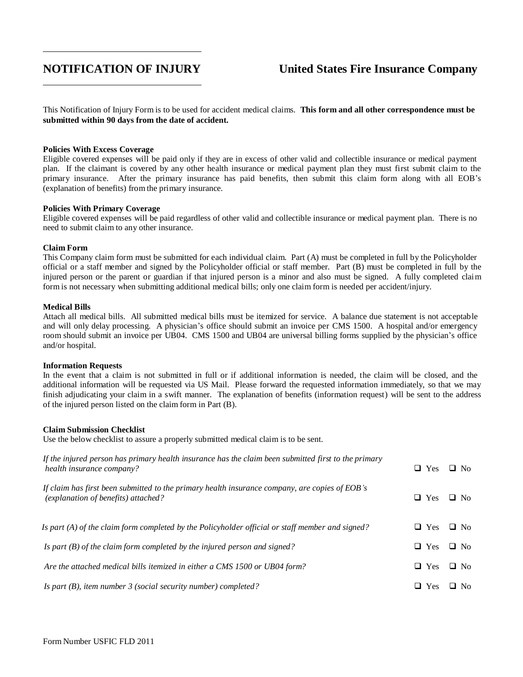# **NOTIFICATION OF INJURY United States Fire Insurance Company**

This Notification of Injury Form is to be used for accident medical claims. **This form and all other correspondence must be submitted within 90 days from the date of accident.**

#### **Policies With Excess Coverage**

Eligible covered expenses will be paid only if they are in excess of other valid and collectible insurance or medical payment plan. If the claimant is covered by any other health insurance or medical payment plan they must first submit claim to the primary insurance. After the primary insurance has paid benefits, then submit this claim form along with all EOB's (explanation of benefits) from the primary insurance.

#### **Policies With Primary Coverage**

Eligible covered expenses will be paid regardless of other valid and collectible insurance or medical payment plan. There is no need to submit claim to any other insurance.

#### **Claim Form**

This Company claim form must be submitted for each individual claim. Part (A) must be completed in full by the Policyholder official or a staff member and signed by the Policyholder official or staff member. Part (B) must be completed in full by the injured person or the parent or guardian if that injured person is a minor and also must be signed. A fully completed claim form is not necessary when submitting additional medical bills; only one claim form is needed per accident/injury.

#### **Medical Bills**

Attach all medical bills. All submitted medical bills must be itemized for service. A balance due statement is not acceptable and will only delay processing. A physician's office should submit an invoice per CMS 1500. A hospital and/or emergency room should submit an invoice per UB04. CMS 1500 and UB04 are universal billing forms supplied by the physician's office and/or hospital.

#### **Information Requests**

In the event that a claim is not submitted in full or if additional information is needed, the claim will be closed, and the additional information will be requested via US Mail. Please forward the requested information immediately, so that we may finish adjudicating your claim in a swift manner. The explanation of benefits (information request) will be sent to the address of the injured person listed on the claim form in Part (B).

#### **Claim Submission Checklist**

Use the below checklist to assure a properly submitted medical claim is to be sent.

| If the injured person has primary health insurance has the claim been submitted first to the primary<br>health insurance company?     | $\Box$ Yes | $\Box$ No     |
|---------------------------------------------------------------------------------------------------------------------------------------|------------|---------------|
| If claim has first been submitted to the primary health insurance company, are copies of EOB's<br>(explanation of benefits) attached? | $\Box$ Yes | $\Box$ No     |
| Is part $(A)$ of the claim form completed by the Policyholder official or staff member and signed?                                    | $\Box$ Yes | $\Box$ No     |
| Is part $(B)$ of the claim form completed by the injured person and signed?                                                           | $\Box$ Yes | $\Box$ No     |
| Are the attached medical bills itemized in either a CMS 1500 or UB04 form?                                                            | $\Box$ Yes | $\Box$ No     |
| Is part $(B)$ , item number 3 (social security number) completed?                                                                     | $\Box$ Yes | No.<br>$\Box$ |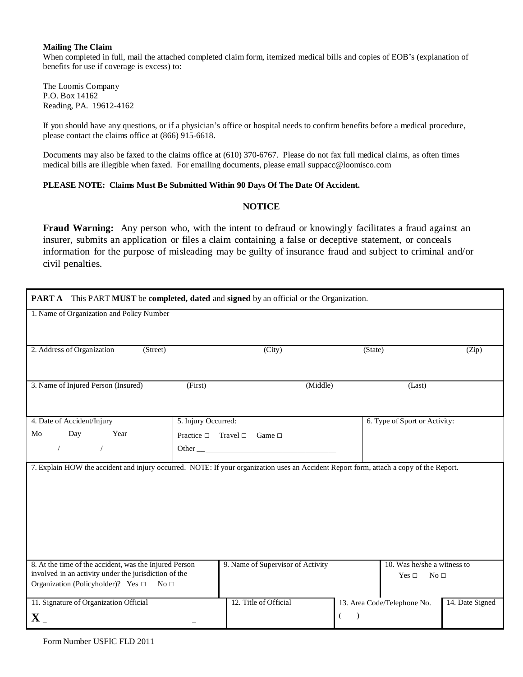#### **Mailing The Claim**

When completed in full, mail the attached completed claim form, itemized medical bills and copies of EOB's (explanation of benefits for use if coverage is excess) to:

The Loomis Company P.O. Box 14162 Reading, PA. 19612-4162

If you should have any questions, or if a physician's office or hospital needs to confirm benefits before a medical procedure, please contact the claims office at (866) 915-6618.

Documents may also be faxed to the claims office at (610) 370-6767. Please do not fax full medical claims, as often times medical bills are illegible when faxed. For emailing documents, please email [suppacc@loomisco.com](mailto:suppacc@loomisco.com)

### **PLEASE NOTE: Claims Must Be Submitted Within 90 Days Of The Date Of Accident.**

## **NOTICE**

**Fraud Warning:** Any person who, with the intent to defraud or knowingly facilitates a fraud against an insurer, submits an application or files a claim containing a false or deceptive statement, or conceals information for the purpose of misleading may be guilty of insurance fraud and subject to criminal and/or civil penalties.

| PART A - This PART MUST be completed, dated and signed by an official or the Organization.                                             |                                     |                                   |          |                    |                               |                 |  |  |
|----------------------------------------------------------------------------------------------------------------------------------------|-------------------------------------|-----------------------------------|----------|--------------------|-------------------------------|-----------------|--|--|
| 1. Name of Organization and Policy Number                                                                                              |                                     |                                   |          |                    |                               |                 |  |  |
|                                                                                                                                        |                                     |                                   |          |                    |                               |                 |  |  |
| 2. Address of Organization<br>(Street)                                                                                                 |                                     | (City)                            |          | (State)            |                               | (Zip)           |  |  |
|                                                                                                                                        |                                     |                                   |          |                    |                               |                 |  |  |
| 3. Name of Injured Person (Insured)                                                                                                    | (First)                             |                                   | (Middle) |                    | (Last)                        |                 |  |  |
|                                                                                                                                        |                                     |                                   |          |                    |                               |                 |  |  |
| 4. Date of Accident/Injury                                                                                                             | 5. Injury Occurred:                 |                                   |          |                    | 6. Type of Sport or Activity: |                 |  |  |
| Day<br>Year<br>Mo                                                                                                                      | Practice $\square$ Travel $\square$ | Game $\Box$                       |          |                    |                               |                 |  |  |
| $\overline{\phantom{a}}$<br>$\sqrt{2}$                                                                                                 |                                     |                                   |          |                    |                               |                 |  |  |
| 7. Explain HOW the accident and injury occurred. NOTE: If your organization uses an Accident Report form, attach a copy of the Report. |                                     |                                   |          |                    |                               |                 |  |  |
|                                                                                                                                        |                                     |                                   |          |                    |                               |                 |  |  |
|                                                                                                                                        |                                     |                                   |          |                    |                               |                 |  |  |
|                                                                                                                                        |                                     |                                   |          |                    |                               |                 |  |  |
|                                                                                                                                        |                                     |                                   |          |                    |                               |                 |  |  |
|                                                                                                                                        |                                     |                                   |          |                    |                               |                 |  |  |
|                                                                                                                                        |                                     |                                   |          |                    |                               |                 |  |  |
| 8. At the time of the accident, was the Injured Person                                                                                 |                                     | 9. Name of Supervisor of Activity |          |                    | 10. Was he/she a witness to   |                 |  |  |
| involved in an activity under the jurisdiction of the                                                                                  |                                     |                                   |          |                    | Yes $\Box$<br>No <sub>1</sub> |                 |  |  |
| Organization (Policyholder)? Yes $\Box$ No $\Box$                                                                                      |                                     |                                   |          |                    |                               |                 |  |  |
| 11. Signature of Organization Official                                                                                                 |                                     | 12. Title of Official             |          |                    | 13. Area Code/Telephone No.   | 14. Date Signed |  |  |
| $\mathbf{X}_{-}$                                                                                                                       |                                     |                                   |          | $\rightarrow$<br>€ |                               |                 |  |  |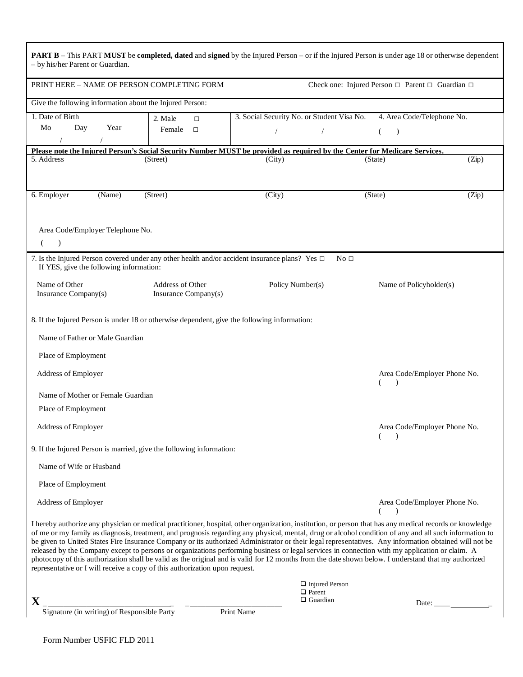| <b>PART B</b> – This PART MUST be completed, dated and signed by the Injured Person – or if the Injured Person is under age 18 or otherwise dependent<br>- by his/her Parent or Guardian.                                                                                                                                                                                                                                                                                                                                                                                                                                                                                                                                                                                                                                                                            |                                          |                                            |                                          |                                                    |              |  |  |
|----------------------------------------------------------------------------------------------------------------------------------------------------------------------------------------------------------------------------------------------------------------------------------------------------------------------------------------------------------------------------------------------------------------------------------------------------------------------------------------------------------------------------------------------------------------------------------------------------------------------------------------------------------------------------------------------------------------------------------------------------------------------------------------------------------------------------------------------------------------------|------------------------------------------|--------------------------------------------|------------------------------------------|----------------------------------------------------|--------------|--|--|
| PRINT HERE - NAME OF PERSON COMPLETING FORM<br>Check one: Injured Person $\Box$ Parent $\Box$ Guardian $\Box$                                                                                                                                                                                                                                                                                                                                                                                                                                                                                                                                                                                                                                                                                                                                                        |                                          |                                            |                                          |                                                    |              |  |  |
| Give the following information about the Injured Person:                                                                                                                                                                                                                                                                                                                                                                                                                                                                                                                                                                                                                                                                                                                                                                                                             |                                          |                                            |                                          |                                                    |              |  |  |
| 1. Date of Birth                                                                                                                                                                                                                                                                                                                                                                                                                                                                                                                                                                                                                                                                                                                                                                                                                                                     | 2. Male<br>$\Box$                        | 3. Social Security No. or Student Visa No. |                                          | 4. Area Code/Telephone No.                         |              |  |  |
| Mo<br>Day<br>Year                                                                                                                                                                                                                                                                                                                                                                                                                                                                                                                                                                                                                                                                                                                                                                                                                                                    | Female<br>$\Box$                         |                                            |                                          | €<br>$\lambda$                                     |              |  |  |
|                                                                                                                                                                                                                                                                                                                                                                                                                                                                                                                                                                                                                                                                                                                                                                                                                                                                      |                                          |                                            |                                          |                                                    |              |  |  |
| Please note the Injured Person's Social Security Number MUST be provided as required by the Center for Medicare Services.                                                                                                                                                                                                                                                                                                                                                                                                                                                                                                                                                                                                                                                                                                                                            |                                          |                                            |                                          |                                                    |              |  |  |
| 5. Address                                                                                                                                                                                                                                                                                                                                                                                                                                                                                                                                                                                                                                                                                                                                                                                                                                                           | (Street)                                 | (City)                                     |                                          | (State)                                            | (Zip)        |  |  |
| 6. Employer<br>(Name)                                                                                                                                                                                                                                                                                                                                                                                                                                                                                                                                                                                                                                                                                                                                                                                                                                                | (Street)                                 | (City)                                     |                                          | (State)                                            | (Zip)        |  |  |
|                                                                                                                                                                                                                                                                                                                                                                                                                                                                                                                                                                                                                                                                                                                                                                                                                                                                      |                                          |                                            |                                          |                                                    |              |  |  |
| Area Code/Employer Telephone No.<br>(<br>$\lambda$                                                                                                                                                                                                                                                                                                                                                                                                                                                                                                                                                                                                                                                                                                                                                                                                                   |                                          |                                            |                                          |                                                    |              |  |  |
| 7. Is the Injured Person covered under any other health and/or accident insurance plans? Yes $\Box$<br>If YES, give the following information:                                                                                                                                                                                                                                                                                                                                                                                                                                                                                                                                                                                                                                                                                                                       |                                          |                                            | No <sub>1</sub>                          |                                                    |              |  |  |
| Name of Other<br>Insurance Company(s)                                                                                                                                                                                                                                                                                                                                                                                                                                                                                                                                                                                                                                                                                                                                                                                                                                | Address of Other<br>Insurance Company(s) | Policy Number(s)                           |                                          | Name of Policyholder(s)                            |              |  |  |
| 8. If the Injured Person is under 18 or otherwise dependent, give the following information:<br>Name of Father or Male Guardian<br>Place of Employment                                                                                                                                                                                                                                                                                                                                                                                                                                                                                                                                                                                                                                                                                                               |                                          |                                            |                                          |                                                    |              |  |  |
| Address of Employer                                                                                                                                                                                                                                                                                                                                                                                                                                                                                                                                                                                                                                                                                                                                                                                                                                                  |                                          |                                            |                                          | Area Code/Employer Phone No.<br>€<br>$\lambda$     |              |  |  |
| Name of Mother or Female Guardian                                                                                                                                                                                                                                                                                                                                                                                                                                                                                                                                                                                                                                                                                                                                                                                                                                    |                                          |                                            |                                          |                                                    |              |  |  |
| Place of Employment                                                                                                                                                                                                                                                                                                                                                                                                                                                                                                                                                                                                                                                                                                                                                                                                                                                  |                                          |                                            |                                          |                                                    |              |  |  |
| Address of Employer                                                                                                                                                                                                                                                                                                                                                                                                                                                                                                                                                                                                                                                                                                                                                                                                                                                  |                                          |                                            |                                          | Area Code/Employer Phone No.<br>$\rightarrow$      |              |  |  |
| 9. If the Injured Person is married, give the following information:                                                                                                                                                                                                                                                                                                                                                                                                                                                                                                                                                                                                                                                                                                                                                                                                 |                                          |                                            |                                          |                                                    |              |  |  |
| Name of Wife or Husband                                                                                                                                                                                                                                                                                                                                                                                                                                                                                                                                                                                                                                                                                                                                                                                                                                              |                                          |                                            |                                          |                                                    |              |  |  |
| Place of Employment                                                                                                                                                                                                                                                                                                                                                                                                                                                                                                                                                                                                                                                                                                                                                                                                                                                  |                                          |                                            |                                          |                                                    |              |  |  |
| Address of Employer                                                                                                                                                                                                                                                                                                                                                                                                                                                                                                                                                                                                                                                                                                                                                                                                                                                  |                                          |                                            |                                          | Area Code/Employer Phone No.<br>€<br>$\rightarrow$ |              |  |  |
| I hereby authorize any physician or medical practitioner, hospital, other organization, institution, or person that has any medical records or knowledge<br>of me or my family as diagnosis, treatment, and prognosis regarding any physical, mental, drug or alcohol condition of any and all such information to<br>be given to United States Fire Insurance Company or its authorized Administrator or their legal representatives. Any information obtained will not be<br>released by the Company except to persons or organizations performing business or legal services in connection with my application or claim. A<br>photocopy of this authorization shall be valid as the original and is valid for 12 months from the date shown below. I understand that my authorized<br>representative or I will receive a copy of this authorization upon request. |                                          |                                            |                                          |                                                    |              |  |  |
| X                                                                                                                                                                                                                                                                                                                                                                                                                                                                                                                                                                                                                                                                                                                                                                                                                                                                    |                                          | $\Box$ Parent                              | $\Box$ Injured Person<br>$\Box$ Guardian |                                                    |              |  |  |
| -<br>Signature (in writing) of Responsible Party                                                                                                                                                                                                                                                                                                                                                                                                                                                                                                                                                                                                                                                                                                                                                                                                                     |                                          | Print Name                                 |                                          |                                                    | Date: $\_\_$ |  |  |
|                                                                                                                                                                                                                                                                                                                                                                                                                                                                                                                                                                                                                                                                                                                                                                                                                                                                      |                                          |                                            |                                          |                                                    |              |  |  |